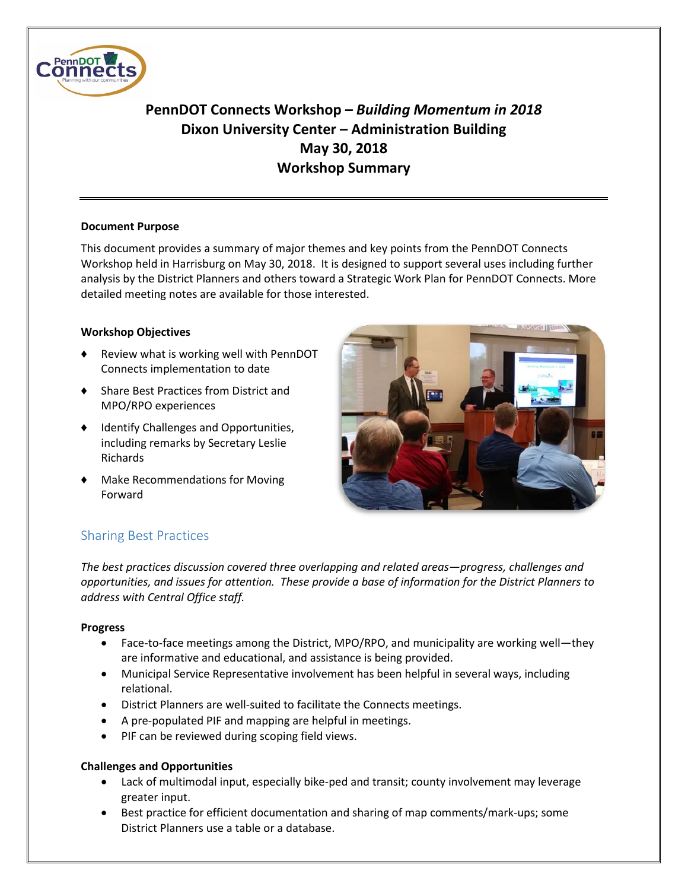

# **PennDOT Connects Workshop –** *Building Momentum in 2018* **Dixon University Center – Administration Building May 30, 2018 Workshop Summary**

### **Document Purpose**

This document provides a summary of major themes and key points from the PennDOT Connects Workshop held in Harrisburg on May 30, 2018. It is designed to support several uses including further analysis by the District Planners and others toward a Strategic Work Plan for PennDOT Connects. More detailed meeting notes are available for those interested.

### **Workshop Objectives**

- ♦ Review what is working well with PennDOT Connects implementation to date
- ♦ Share Best Practices from District and MPO/RPO experiences
- ♦ Identify Challenges and Opportunities, including remarks by Secretary Leslie Richards
- Make Recommendations for Moving Forward



# Sharing Best Practices

*The best practices discussion covered three overlapping and related areas—progress, challenges and opportunities, and issues for attention. These provide a base of information for the District Planners to address with Central Office staff.* 

## **Progress**

- Face-to-face meetings among the District, MPO/RPO, and municipality are working well—they are informative and educational, and assistance is being provided.
- Municipal Service Representative involvement has been helpful in several ways, including relational.
- District Planners are well-suited to facilitate the Connects meetings.
- A pre-populated PIF and mapping are helpful in meetings.
- PIF can be reviewed during scoping field views.

## **Challenges and Opportunities**

- Lack of multimodal input, especially bike-ped and transit; county involvement may leverage greater input.
- Best practice for efficient documentation and sharing of map comments/mark-ups; some District Planners use a table or a database.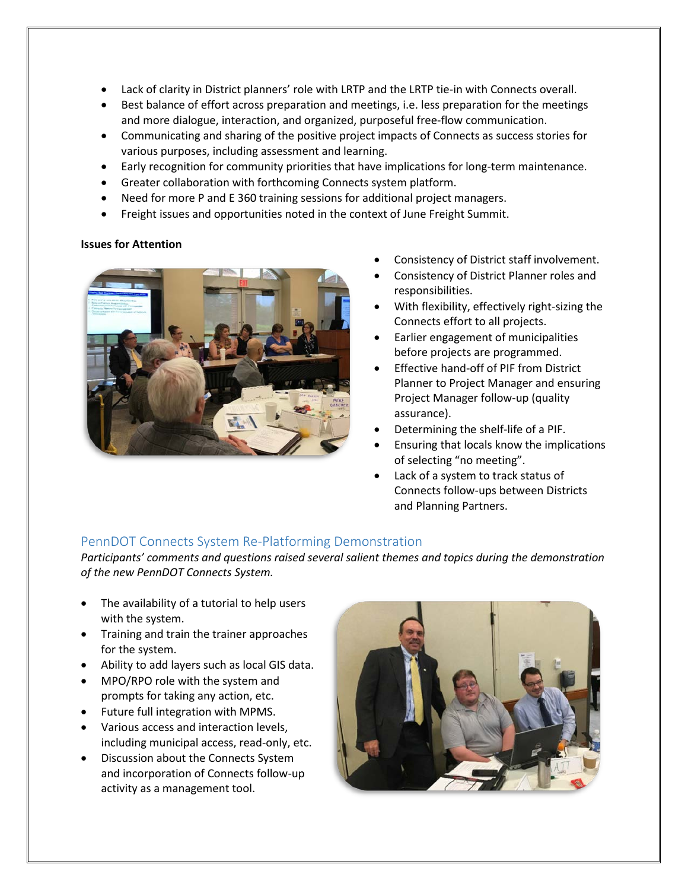- Lack of clarity in District planners' role with LRTP and the LRTP tie-in with Connects overall.
- Best balance of effort across preparation and meetings, i.e. less preparation for the meetings and more dialogue, interaction, and organized, purposeful free-flow communication.
- Communicating and sharing of the positive project impacts of Connects as success stories for various purposes, including assessment and learning.
- Early recognition for community priorities that have implications for long-term maintenance.
- Greater collaboration with forthcoming Connects system platform.
- Need for more P and E 360 training sessions for additional project managers.
- Freight issues and opportunities noted in the context of June Freight Summit.

#### **Issues for Attention**



- Consistency of District staff involvement.
- Consistency of District Planner roles and responsibilities.
- With flexibility, effectively right-sizing the Connects effort to all projects.
- Earlier engagement of municipalities before projects are programmed.
- Effective hand-off of PIF from District Planner to Project Manager and ensuring Project Manager follow-up (quality assurance).
- Determining the shelf-life of a PIF.
- Ensuring that locals know the implications of selecting "no meeting".
- Lack of a system to track status of Connects follow-ups between Districts and Planning Partners.

## PennDOT Connects System Re-Platforming Demonstration

*Participants' comments and questions raised several salient themes and topics during the demonstration of the new PennDOT Connects System.*

- The availability of a tutorial to help users with the system.
- Training and train the trainer approaches for the system.
- Ability to add layers such as local GIS data.
- MPO/RPO role with the system and prompts for taking any action, etc.
- Future full integration with MPMS.
- Various access and interaction levels, including municipal access, read-only, etc.
- Discussion about the Connects System and incorporation of Connects follow-up activity as a management tool.

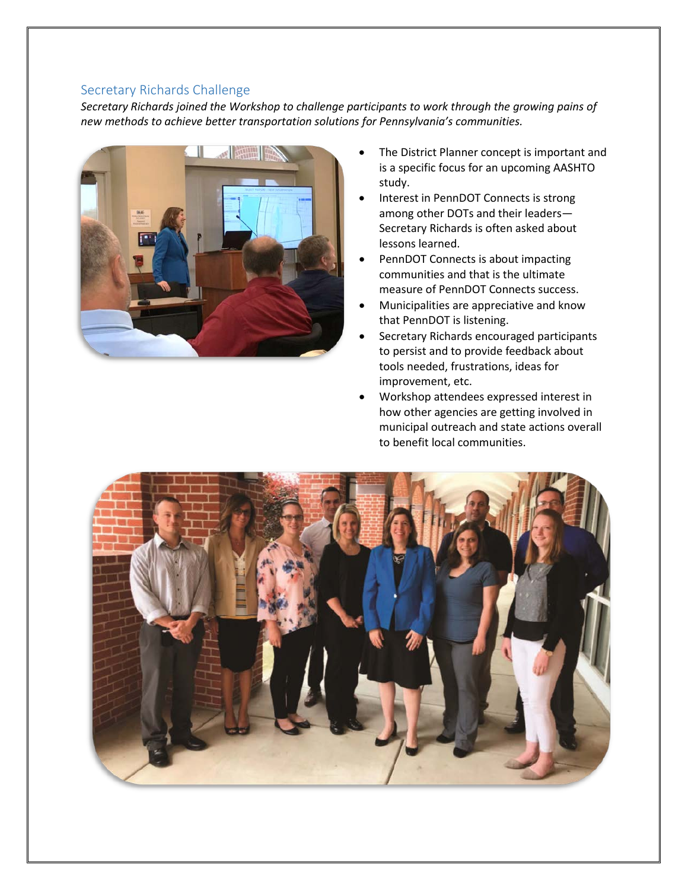## Secretary Richards Challenge

*Secretary Richards joined the Workshop to challenge participants to work through the growing pains of new methods to achieve better transportation solutions for Pennsylvania's communities.*



- The District Planner concept is important and is a specific focus for an upcoming AASHTO study.
- Interest in PennDOT Connects is strong among other DOTs and their leaders— Secretary Richards is often asked about lessons learned.
- PennDOT Connects is about impacting communities and that is the ultimate measure of PennDOT Connects success.
- Municipalities are appreciative and know that PennDOT is listening.
- Secretary Richards encouraged participants to persist and to provide feedback about tools needed, frustrations, ideas for improvement, etc.
- Workshop attendees expressed interest in how other agencies are getting involved in municipal outreach and state actions overall to benefit local communities.

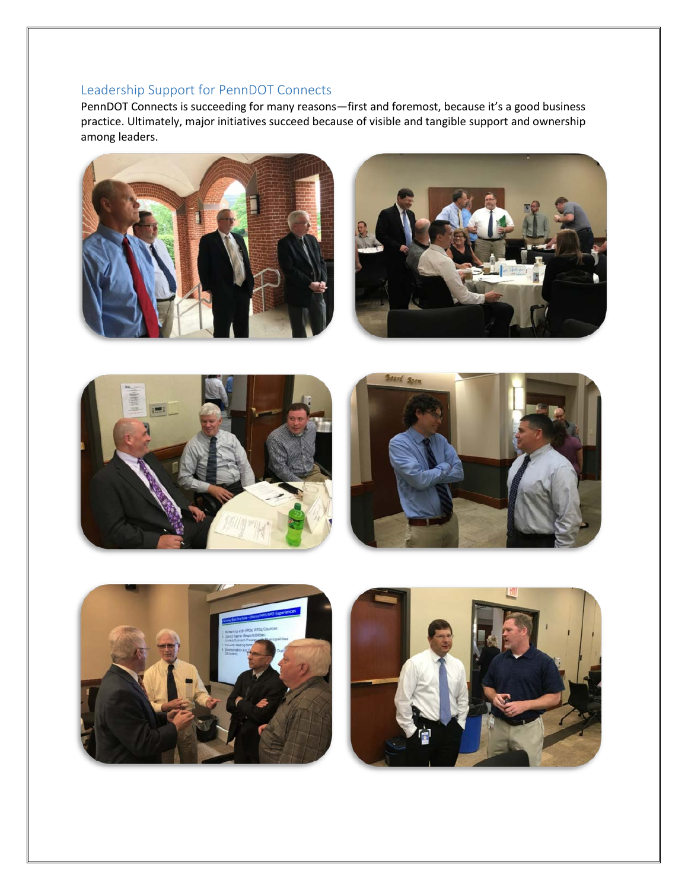# Leadership Support for PennDOT Connects

PennDOT Connects is succeeding for many reasons—first and foremost, because it's a good business practice. Ultimately, major initiatives succeed because of visible and tangible support and ownership among leaders.









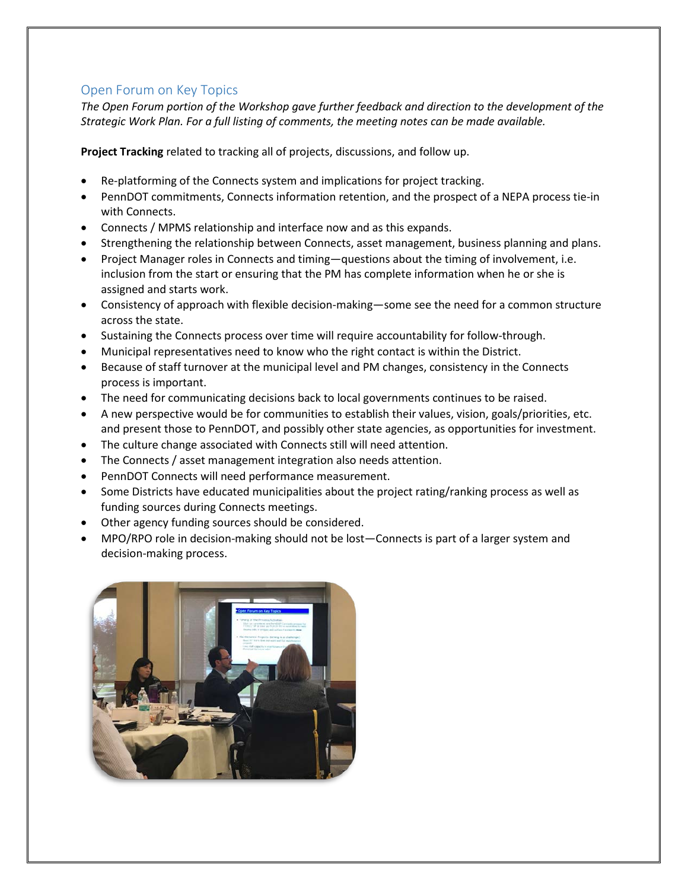## Open Forum on Key Topics

*The Open Forum portion of the Workshop gave further feedback and direction to the development of the Strategic Work Plan. For a full listing of comments, the meeting notes can be made available.*

**Project Tracking** related to tracking all of projects, discussions, and follow up.

- Re-platforming of the Connects system and implications for project tracking.
- PennDOT commitments, Connects information retention, and the prospect of a NEPA process tie-in with Connects.
- Connects / MPMS relationship and interface now and as this expands.
- Strengthening the relationship between Connects, asset management, business planning and plans.
- Project Manager roles in Connects and timing—questions about the timing of involvement, i.e. inclusion from the start or ensuring that the PM has complete information when he or she is assigned and starts work.
- Consistency of approach with flexible decision-making—some see the need for a common structure across the state.
- Sustaining the Connects process over time will require accountability for follow-through.
- Municipal representatives need to know who the right contact is within the District.
- Because of staff turnover at the municipal level and PM changes, consistency in the Connects process is important.
- The need for communicating decisions back to local governments continues to be raised.
- A new perspective would be for communities to establish their values, vision, goals/priorities, etc. and present those to PennDOT, and possibly other state agencies, as opportunities for investment.
- The culture change associated with Connects still will need attention.
- The Connects / asset management integration also needs attention.
- PennDOT Connects will need performance measurement.
- Some Districts have educated municipalities about the project rating/ranking process as well as funding sources during Connects meetings.
- Other agency funding sources should be considered.
- MPO/RPO role in decision-making should not be lost—Connects is part of a larger system and decision-making process.

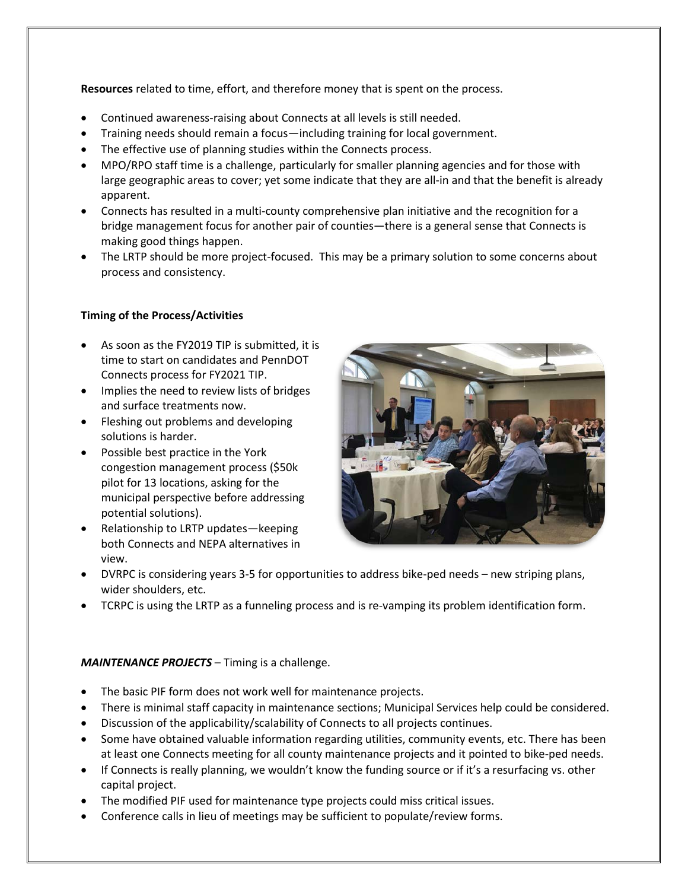**Resources** related to time, effort, and therefore money that is spent on the process.

- Continued awareness-raising about Connects at all levels is still needed.
- Training needs should remain a focus—including training for local government.
- The effective use of planning studies within the Connects process.
- MPO/RPO staff time is a challenge, particularly for smaller planning agencies and for those with large geographic areas to cover; yet some indicate that they are all-in and that the benefit is already apparent.
- Connects has resulted in a multi-county comprehensive plan initiative and the recognition for a bridge management focus for another pair of counties—there is a general sense that Connects is making good things happen.
- The LRTP should be more project-focused. This may be a primary solution to some concerns about process and consistency.

### **Timing of the Process/Activities**

- As soon as the FY2019 TIP is submitted, it is time to start on candidates and PennDOT Connects process for FY2021 TIP.
- Implies the need to review lists of bridges and surface treatments now.
- Fleshing out problems and developing solutions is harder.
- Possible best practice in the York congestion management process (\$50k pilot for 13 locations, asking for the municipal perspective before addressing potential solutions).
- Relationship to LRTP updates—keeping both Connects and NEPA alternatives in view.



- DVRPC is considering years 3-5 for opportunities to address bike-ped needs new striping plans, wider shoulders, etc.
- TCRPC is using the LRTP as a funneling process and is re-vamping its problem identification form.

#### *MAINTENANCE PROJECTS* – Timing is a challenge.

- The basic PIF form does not work well for maintenance projects.
- There is minimal staff capacity in maintenance sections; Municipal Services help could be considered.
- Discussion of the applicability/scalability of Connects to all projects continues.
- Some have obtained valuable information regarding utilities, community events, etc. There has been at least one Connects meeting for all county maintenance projects and it pointed to bike-ped needs.
- If Connects is really planning, we wouldn't know the funding source or if it's a resurfacing vs. other capital project.
- The modified PIF used for maintenance type projects could miss critical issues.
- Conference calls in lieu of meetings may be sufficient to populate/review forms.